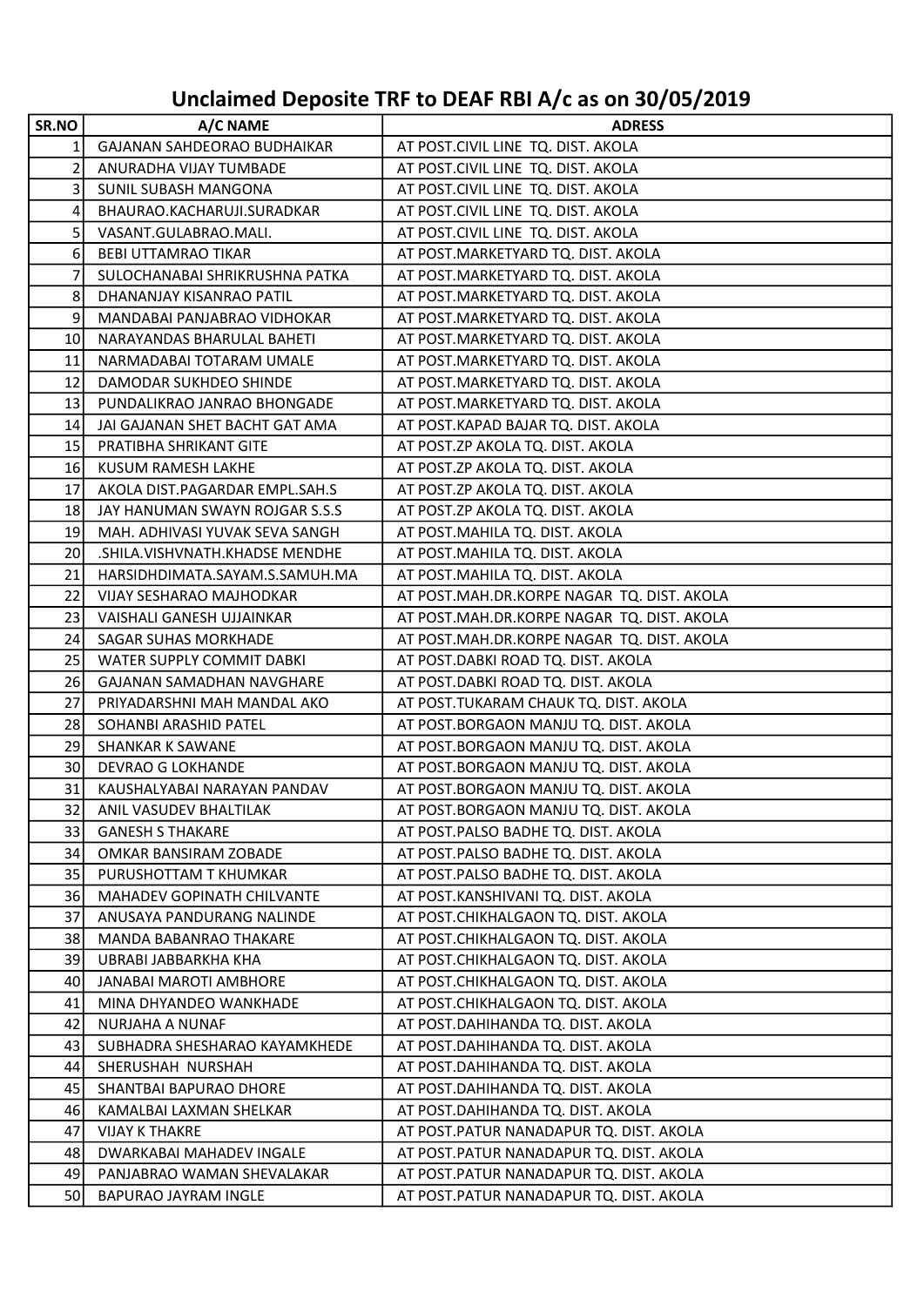## Unclaimed Deposite TRF to DEAF RBI A/c as on 30/05/2019

| SR.NO           | A/C NAME                       | <b>ADRESS</b>                              |
|-----------------|--------------------------------|--------------------------------------------|
| 1               | GAJANAN SAHDEORAO BUDHAIKAR    | AT POST.CIVIL LINE TQ. DIST. AKOLA         |
| 2               | ANURADHA VIJAY TUMBADE         | AT POST.CIVIL LINE TQ. DIST. AKOLA         |
| $\overline{3}$  | SUNIL SUBASH MANGONA           | AT POST.CIVIL LINE TQ. DIST. AKOLA         |
| $\vert 4 \vert$ | BHAURAO.KACHARUJI.SURADKAR     | AT POST.CIVIL LINE TQ. DIST. AKOLA         |
| 5 <sup>1</sup>  | VASANT.GULABRAO.MALI.          | AT POST.CIVIL LINE TQ. DIST. AKOLA         |
| $6 \mid$        | <b>BEBI UTTAMRAO TIKAR</b>     | AT POST.MARKETYARD TQ. DIST. AKOLA         |
| 7               | SULOCHANABAI SHRIKRUSHNA PATKA | AT POST. MARKETYARD TQ. DIST. AKOLA        |
| 8               | DHANANJAY KISANRAO PATIL       | AT POST.MARKETYARD TQ. DIST. AKOLA         |
| 9               | MANDABAI PANJABRAO VIDHOKAR    | AT POST.MARKETYARD TQ. DIST. AKOLA         |
| 10 <sup>1</sup> | NARAYANDAS BHARULAL BAHETI     | AT POST. MARKETYARD TQ. DIST. AKOLA        |
| 11              | NARMADABAI TOTARAM UMALE       | AT POST. MARKETYARD TQ. DIST. AKOLA        |
| 12              | DAMODAR SUKHDEO SHINDE         | AT POST. MARKETYARD TQ. DIST. AKOLA        |
| 13              | PUNDALIKRAO JANRAO BHONGADE    | AT POST.MARKETYARD TQ. DIST. AKOLA         |
| 14              | JAI GAJANAN SHET BACHT GAT AMA | AT POST.KAPAD BAJAR TQ. DIST. AKOLA        |
| 15              | PRATIBHA SHRIKANT GITE         | AT POST.ZP AKOLA TQ. DIST. AKOLA           |
| 16              | KUSUM RAMESH LAKHE             | AT POST.ZP AKOLA TQ. DIST. AKOLA           |
| 17              | AKOLA DIST.PAGARDAR EMPL.SAH.S | AT POST.ZP AKOLA TQ. DIST. AKOLA           |
| 18              | JAY HANUMAN SWAYN ROJGAR S.S.S | AT POST.ZP AKOLA TQ. DIST. AKOLA           |
| 19 <sup>1</sup> | MAH. ADHIVASI YUVAK SEVA SANGH | AT POST.MAHILA TQ. DIST. AKOLA             |
| 20              | .SHILA.VISHVNATH.KHADSE MENDHE | AT POST. MAHILA TQ. DIST. AKOLA            |
| 21              | HARSIDHDIMATA.SAYAM.S.SAMUH.MA | AT POST.MAHILA TQ. DIST. AKOLA             |
| 22              | VIJAY SESHARAO MAJHODKAR       | AT POST.MAH.DR.KORPE NAGAR TQ. DIST. AKOLA |
| 23              | VAISHALI GANESH UJJAINKAR      | AT POST.MAH.DR.KORPE NAGAR TQ. DIST. AKOLA |
| 24              | SAGAR SUHAS MORKHADE           | AT POST.MAH.DR.KORPE NAGAR TQ. DIST. AKOLA |
| 25              | WATER SUPPLY COMMIT DABKI      | AT POST.DABKI ROAD TQ. DIST. AKOLA         |
| 26              | GAJANAN SAMADHAN NAVGHARE      | AT POST.DABKI ROAD TQ. DIST. AKOLA         |
| 27              | PRIYADARSHNI MAH MANDAL AKO    | AT POST.TUKARAM CHAUK TQ. DIST. AKOLA      |
| 28              | SOHANBI ARASHID PATEL          | AT POST.BORGAON MANJU TQ. DIST. AKOLA      |
| 29              | <b>SHANKAR K SAWANE</b>        | AT POST.BORGAON MANJU TQ. DIST. AKOLA      |
| 30 <sub>l</sub> | <b>DEVRAO G LOKHANDE</b>       | AT POST.BORGAON MANJU TQ. DIST. AKOLA      |
| 31              | KAUSHALYABAI NARAYAN PANDAV    | AT POST.BORGAON MANJU TQ. DIST. AKOLA      |
| 32              | ANIL VASUDEV BHALTILAK         | AT POST.BORGAON MANJU TQ. DIST. AKOLA      |
| 33              | <b>GANESH S THAKARE</b>        | AT POST.PALSO BADHE TQ. DIST. AKOLA        |
| 34              | OMKAR BANSIRAM ZOBADE          | AT POST. PALSO BADHE TQ. DIST. AKOLA       |
| 35              | PURUSHOTTAM T KHUMKAR          | AT POST.PALSO BADHE TQ. DIST. AKOLA        |
| 36              | MAHADEV GOPINATH CHILVANTE     | AT POST.KANSHIVANI TQ. DIST. AKOLA         |
| 37              | ANUSAYA PANDURANG NALINDE      | AT POST.CHIKHALGAON TQ. DIST. AKOLA        |
| 38              | MANDA BABANRAO THAKARE         | AT POST.CHIKHALGAON TQ. DIST. AKOLA        |
| 39              | UBRABI JABBARKHA KHA           | AT POST.CHIKHALGAON TQ. DIST. AKOLA        |
| 40              | JANABAI MAROTI AMBHORE         | AT POST.CHIKHALGAON TQ. DIST. AKOLA        |
| 41              | MINA DHYANDEO WANKHADE         | AT POST.CHIKHALGAON TQ. DIST. AKOLA        |
| 42              | NURJAHA A NUNAF                | AT POST.DAHIHANDA TQ. DIST. AKOLA          |
| 43              | SUBHADRA SHESHARAO KAYAMKHEDE  | AT POST.DAHIHANDA TQ. DIST. AKOLA          |
| 44              | SHERUSHAH NURSHAH              | AT POST.DAHIHANDA TQ. DIST. AKOLA          |
| 45              | SHANTBAI BAPURAO DHORE         | AT POST.DAHIHANDA TQ. DIST. AKOLA          |
| 46              | KAMALBAI LAXMAN SHELKAR        | AT POST.DAHIHANDA TQ. DIST. AKOLA          |
| 47              | <b>VIJAY K THAKRE</b>          | AT POST.PATUR NANADAPUR TQ. DIST. AKOLA    |
| 48              | DWARKABAI MAHADEV INGALE       | AT POST.PATUR NANADAPUR TQ. DIST. AKOLA    |
| 49              | PANJABRAO WAMAN SHEVALAKAR     | AT POST.PATUR NANADAPUR TQ. DIST. AKOLA    |
| 50              | BAPURAO JAYRAM INGLE           | AT POST.PATUR NANADAPUR TQ. DIST. AKOLA    |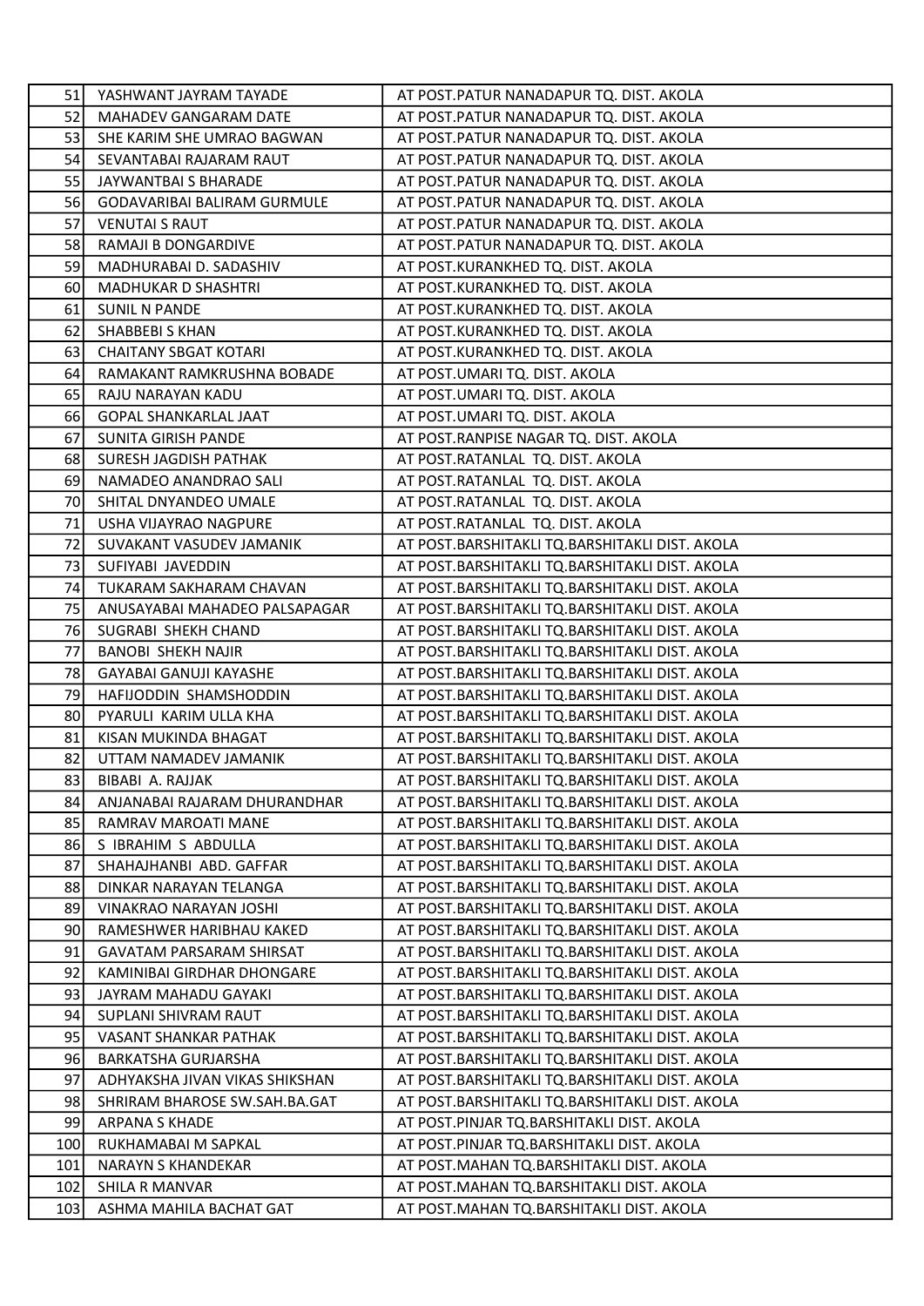| 51 I | YASHWANT JAYRAM TAYADE          | AT POST.PATUR NANADAPUR TQ. DIST. AKOLA        |
|------|---------------------------------|------------------------------------------------|
| 52   | <b>MAHADEV GANGARAM DATE</b>    | AT POST.PATUR NANADAPUR TQ. DIST. AKOLA        |
| 53   | SHE KARIM SHE UMRAO BAGWAN      | AT POST.PATUR NANADAPUR TQ. DIST. AKOLA        |
| 54   | SEVANTABAI RAJARAM RAUT         | AT POST.PATUR NANADAPUR TQ. DIST. AKOLA        |
| 55   | JAYWANTBAI S BHARADE            | AT POST.PATUR NANADAPUR TQ. DIST. AKOLA        |
| 56   | GODAVARIBAI BALIRAM GURMULE     | AT POST.PATUR NANADAPUR TQ. DIST. AKOLA        |
| 57   | <b>VENUTAI S RAUT</b>           | AT POST.PATUR NANADAPUR TQ. DIST. AKOLA        |
| 58   | RAMAJI B DONGARDIVE             | AT POST.PATUR NANADAPUR TQ. DIST. AKOLA        |
| 59   | MADHURABAI D. SADASHIV          | AT POST.KURANKHED TQ. DIST. AKOLA              |
| 60   | <b>MADHUKAR D SHASHTRI</b>      | AT POST.KURANKHED TQ. DIST. AKOLA              |
| 61   | <b>SUNIL N PANDE</b>            | AT POST.KURANKHED TQ. DIST. AKOLA              |
| 62   | SHABBEBI S KHAN                 | AT POST.KURANKHED TQ. DIST. AKOLA              |
| 63   | <b>CHAITANY SBGAT KOTARI</b>    | AT POST.KURANKHED TQ. DIST. AKOLA              |
| 64   | RAMAKANT RAMKRUSHNA BOBADE      | AT POST.UMARI TQ. DIST. AKOLA                  |
| 65   | RAJU NARAYAN KADU               | AT POST.UMARI TQ. DIST. AKOLA                  |
| 66   | GOPAL SHANKARLAL JAAT           | AT POST.UMARI TQ. DIST. AKOLA                  |
| 67   | SUNITA GIRISH PANDE             | AT POST.RANPISE NAGAR TQ. DIST. AKOLA          |
| 68   | SURESH JAGDISH PATHAK           | AT POST.RATANLAL TQ. DIST. AKOLA               |
| 69   | NAMADEO ANANDRAO SALI           | AT POST.RATANLAL TQ. DIST. AKOLA               |
| 70   | SHITAL DNYANDEO UMALE           | AT POST.RATANLAL TQ. DIST. AKOLA               |
| 71   | USHA VIJAYRAO NAGPURE           | AT POST.RATANLAL TQ. DIST. AKOLA               |
| 72   | SUVAKANT VASUDEV JAMANIK        | AT POST.BARSHITAKLI TQ.BARSHITAKLI DIST. AKOLA |
| 73   | SUFIYABI JAVEDDIN               | AT POST.BARSHITAKLI TQ.BARSHITAKLI DIST. AKOLA |
| 74   | TUKARAM SAKHARAM CHAVAN         | AT POST.BARSHITAKLI TQ.BARSHITAKLI DIST. AKOLA |
| 75   | ANUSAYABAI MAHADEO PALSAPAGAR   | AT POST.BARSHITAKLI TQ.BARSHITAKLI DIST. AKOLA |
| 76   | SUGRABI SHEKH CHAND             | AT POST.BARSHITAKLI TQ.BARSHITAKLI DIST. AKOLA |
| 77   | <b>BANOBI SHEKH NAJIR</b>       | AT POST.BARSHITAKLI TQ.BARSHITAKLI DIST. AKOLA |
| 78   | GAYABAI GANUJI KAYASHE          | AT POST.BARSHITAKLI TQ.BARSHITAKLI DIST. AKOLA |
| 79   | HAFIJODDIN SHAMSHODDIN          | AT POST.BARSHITAKLI TQ.BARSHITAKLI DIST. AKOLA |
| 80   | PYARULI KARIM ULLA KHA          | AT POST.BARSHITAKLI TQ.BARSHITAKLI DIST. AKOLA |
| 81   | KISAN MUKINDA BHAGAT            | AT POST.BARSHITAKLI TQ.BARSHITAKLI DIST. AKOLA |
| 82   | UTTAM NAMADEV JAMANIK           | AT POST.BARSHITAKLI TQ.BARSHITAKLI DIST. AKOLA |
| 83   | BIBABI A. RAJJAK                | AT POST.BARSHITAKLI TQ.BARSHITAKLI DIST. AKOLA |
| 84   | ANJANABAI RAJARAM DHURANDHAR    | AT POST.BARSHITAKLI TQ.BARSHITAKLI DIST. AKOLA |
| 85   | RAMRAV MAROATI MANE             | AT POST.BARSHITAKLI TQ.BARSHITAKLI DIST. AKOLA |
| 86   | S IBRAHIM S ABDULLA             | AT POST.BARSHITAKLI TQ.BARSHITAKLI DIST. AKOLA |
| 87   | SHAHAJHANBI ABD. GAFFAR         | AT POST.BARSHITAKLI TQ.BARSHITAKLI DIST. AKOLA |
| 88   | DINKAR NARAYAN TELANGA          | AT POST.BARSHITAKLI TQ.BARSHITAKLI DIST. AKOLA |
| 89   | VINAKRAO NARAYAN JOSHI          | AT POST.BARSHITAKLI TQ.BARSHITAKLI DIST. AKOLA |
| 90   | RAMESHWER HARIBHAU KAKED        | AT POST.BARSHITAKLI TQ.BARSHITAKLI DIST. AKOLA |
| 91   | <b>GAVATAM PARSARAM SHIRSAT</b> | AT POST.BARSHITAKLI TQ.BARSHITAKLI DIST. AKOLA |
| 92   | KAMINIBAI GIRDHAR DHONGARE      | AT POST.BARSHITAKLI TQ.BARSHITAKLI DIST. AKOLA |
| 93   | JAYRAM MAHADU GAYAKI            | AT POST.BARSHITAKLI TQ.BARSHITAKLI DIST. AKOLA |
| 94   | SUPLANI SHIVRAM RAUT            | AT POST.BARSHITAKLI TQ.BARSHITAKLI DIST. AKOLA |
| 95   | VASANT SHANKAR PATHAK           | AT POST.BARSHITAKLI TQ.BARSHITAKLI DIST. AKOLA |
| 96   | BARKATSHA GURJARSHA             | AT POST.BARSHITAKLI TQ.BARSHITAKLI DIST. AKOLA |
| 97   | ADHYAKSHA JIVAN VIKAS SHIKSHAN  | AT POST.BARSHITAKLI TQ.BARSHITAKLI DIST. AKOLA |
| 98   | SHRIRAM BHAROSE SW.SAH.BA.GAT   | AT POST.BARSHITAKLI TQ.BARSHITAKLI DIST. AKOLA |
| 99   | <b>ARPANA S KHADE</b>           | AT POST.PINJAR TQ.BARSHITAKLI DIST. AKOLA      |
| 100  | RUKHAMABAI M SAPKAL             | AT POST.PINJAR TQ.BARSHITAKLI DIST. AKOLA      |
| 101  | <b>NARAYN S KHANDEKAR</b>       | AT POST.MAHAN TQ.BARSHITAKLI DIST. AKOLA       |
| 102  | SHILA R MANVAR                  | AT POST. MAHAN TQ. BARSHITAKLI DIST. AKOLA     |
| 103  | ASHMA MAHILA BACHAT GAT         | AT POST.MAHAN TQ.BARSHITAKLI DIST. AKOLA       |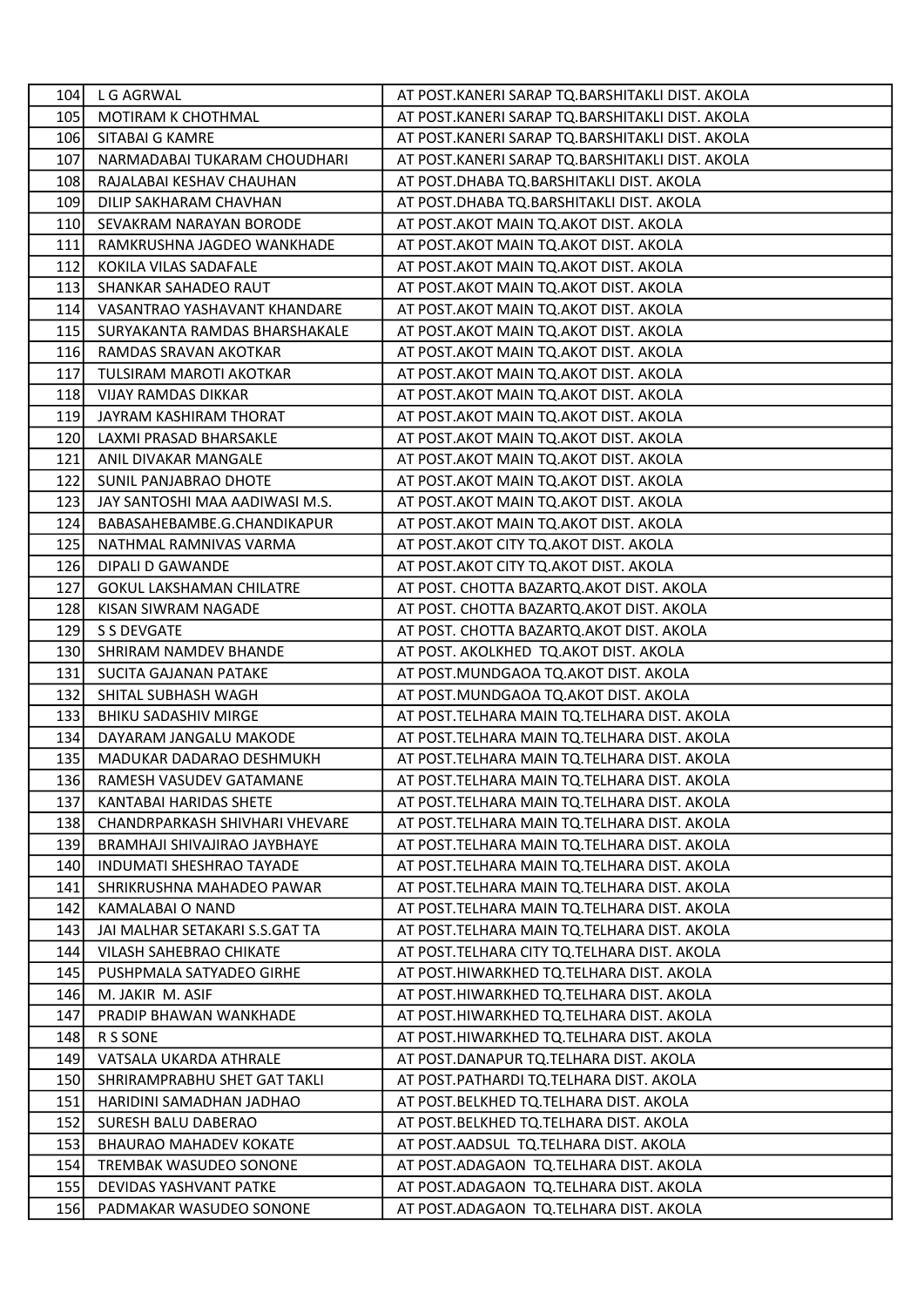| 104        | L G AGRWAL                      | AT POST.KANERI SARAP TQ.BARSHITAKLI DIST. AKOLA |
|------------|---------------------------------|-------------------------------------------------|
| 105        | MOTIRAM K CHOTHMAL              | AT POST.KANERI SARAP TQ.BARSHITAKLI DIST. AKOLA |
| <b>106</b> | SITABAI G KAMRE                 | AT POST.KANERI SARAP TQ.BARSHITAKLI DIST. AKOLA |
| 107        | NARMADABAI TUKARAM CHOUDHARI    | AT POST.KANERI SARAP TQ.BARSHITAKLI DIST. AKOLA |
| 108        | RAJALABAI KESHAV CHAUHAN        | AT POST.DHABA TQ.BARSHITAKLI DIST. AKOLA        |
| 109        | DILIP SAKHARAM CHAVHAN          | AT POST.DHABA TQ.BARSHITAKLI DIST. AKOLA        |
| 110        | SEVAKRAM NARAYAN BORODE         | AT POST.AKOT MAIN TQ.AKOT DIST. AKOLA           |
| 111        | RAMKRUSHNA JAGDEO WANKHADE      | AT POST. AKOT MAIN TO AKOT DIST. AKOLA          |
| 112        | KOKILA VILAS SADAFALE           | AT POST. AKOT MAIN TO AKOT DIST. AKOLA          |
| 113        | SHANKAR SAHADEO RAUT            | AT POST.AKOT MAIN TQ.AKOT DIST. AKOLA           |
| 114        | VASANTRAO YASHAVANT KHANDARE    | AT POST. AKOT MAIN TO AKOT DIST. AKOLA          |
| 115        | SURYAKANTA RAMDAS BHARSHAKALE   | AT POST.AKOT MAIN TQ.AKOT DIST. AKOLA           |
| <b>116</b> | RAMDAS SRAVAN AKOTKAR           | AT POST. AKOT MAIN TO AKOT DIST. AKOLA          |
| 117        | TULSIRAM MAROTI AKOTKAR         | AT POST.AKOT MAIN TQ.AKOT DIST. AKOLA           |
| 118        | <b>VIJAY RAMDAS DIKKAR</b>      | AT POST.AKOT MAIN TQ.AKOT DIST. AKOLA           |
| 119        | JAYRAM KASHIRAM THORAT          | AT POST.AKOT MAIN TQ.AKOT DIST. AKOLA           |
| 120        | LAXMI PRASAD BHARSAKLE          | AT POST.AKOT MAIN TQ.AKOT DIST. AKOLA           |
| 121        | ANIL DIVAKAR MANGALE            | AT POST. AKOT MAIN TO AKOT DIST. AKOLA          |
| 122        | SUNIL PANJABRAO DHOTE           | AT POST.AKOT MAIN TQ.AKOT DIST. AKOLA           |
| 123        | JAY SANTOSHI MAA AADIWASI M.S.  | AT POST.AKOT MAIN TQ.AKOT DIST. AKOLA           |
| 124        | BABASAHEBAMBE.G.CHANDIKAPUR     | AT POST. AKOT MAIN TO AKOT DIST. AKOLA          |
| 125        | NATHMAL RAMNIVAS VARMA          | AT POST.AKOT CITY TQ.AKOT DIST. AKOLA           |
| 126        | DIPALI D GAWANDE                | AT POST.AKOT CITY TQ.AKOT DIST. AKOLA           |
| 127        | <b>GOKUL LAKSHAMAN CHILATRE</b> | AT POST. CHOTTA BAZARTQ.AKOT DIST. AKOLA        |
| 128        | KISAN SIWRAM NAGADE             | AT POST. CHOTTA BAZARTQ.AKOT DIST. AKOLA        |
| 129        | S S DEVGATE                     | AT POST. CHOTTA BAZARTQ.AKOT DIST. AKOLA        |
| 130        | SHRIRAM NAMDEV BHANDE           | AT POST. AKOLKHED TQ.AKOT DIST. AKOLA           |
| 131        | SUCITA GAJANAN PATAKE           | AT POST.MUNDGAOA TQ.AKOT DIST. AKOLA            |
| 132        | SHITAL SUBHASH WAGH             | AT POST.MUNDGAOA TQ.AKOT DIST. AKOLA            |
| 133        | BHIKU SADASHIV MIRGE            | AT POST.TELHARA MAIN TQ.TELHARA DIST. AKOLA     |
| 134        | DAYARAM JANGALU MAKODE          | AT POST.TELHARA MAIN TQ.TELHARA DIST. AKOLA     |
| 135        | MADUKAR DADARAO DESHMUKH        | AT POST.TELHARA MAIN TQ.TELHARA DIST. AKOLA     |
| 136        | RAMESH VASUDEV GATAMANE         | AT POST.TELHARA MAIN TQ.TELHARA DIST. AKOLA     |
| 137        | KANTABAI HARIDAS SHETE          | AT POST.TELHARA MAIN TQ.TELHARA DIST. AKOLA     |
| 138        | CHANDRPARKASH SHIVHARI VHEVARE  | AT POST.TELHARA MAIN TO.TELHARA DIST. AKOLA     |
| 139        | BRAMHAJI SHIVAJIRAO JAYBHAYE    | AT POST. TELHARA MAIN TQ. TELHARA DIST. AKOLA   |
| 140        | <b>INDUMATI SHESHRAO TAYADE</b> | AT POST. TELHARA MAIN TQ. TELHARA DIST. AKOLA   |
| 141        | SHRIKRUSHNA MAHADEO PAWAR       | AT POST. TELHARA MAIN TO. TELHARA DIST. AKOLA   |
| 142        | KAMALABAI O NAND                | AT POST.TELHARA MAIN TQ.TELHARA DIST. AKOLA     |
| 143        | JAI MALHAR SETAKARI S.S.GAT TA  | AT POST. TELHARA MAIN TQ. TELHARA DIST. AKOLA   |
| 144        | VILASH SAHEBRAO CHIKATE         | AT POST. TELHARA CITY TQ. TELHARA DIST. AKOLA   |
| 145        | PUSHPMALA SATYADEO GIRHE        | AT POST.HIWARKHED TQ.TELHARA DIST. AKOLA        |
| 146        | M. JAKIR M. ASIF                | AT POST.HIWARKHED TQ.TELHARA DIST. AKOLA        |
| 147        | PRADIP BHAWAN WANKHADE          | AT POST.HIWARKHED TQ.TELHARA DIST. AKOLA        |
| 148        | R S SONE                        | AT POST.HIWARKHED TQ.TELHARA DIST. AKOLA        |
| 149        | VATSALA UKARDA ATHRALE          | AT POST.DANAPUR TQ.TELHARA DIST. AKOLA          |
| 150        | SHRIRAMPRABHU SHET GAT TAKLI    | AT POST. PATHARDI TQ. TELHARA DIST. AKOLA       |
| 151        | HARIDINI SAMADHAN JADHAO        | AT POST.BELKHED TQ.TELHARA DIST. AKOLA          |
| 152        | SURESH BALU DABERAO             | AT POST.BELKHED TQ.TELHARA DIST. AKOLA          |
| 153        | <b>BHAURAO MAHADEV KOKATE</b>   | AT POST.AADSUL TQ.TELHARA DIST. AKOLA           |
| 154        | TREMBAK WASUDEO SONONE          | AT POST.ADAGAON TQ.TELHARA DIST. AKOLA          |
| 155        | DEVIDAS YASHVANT PATKE          | AT POST.ADAGAON TQ.TELHARA DIST. AKOLA          |
| 156        | PADMAKAR WASUDEO SONONE         | AT POST.ADAGAON TQ.TELHARA DIST. AKOLA          |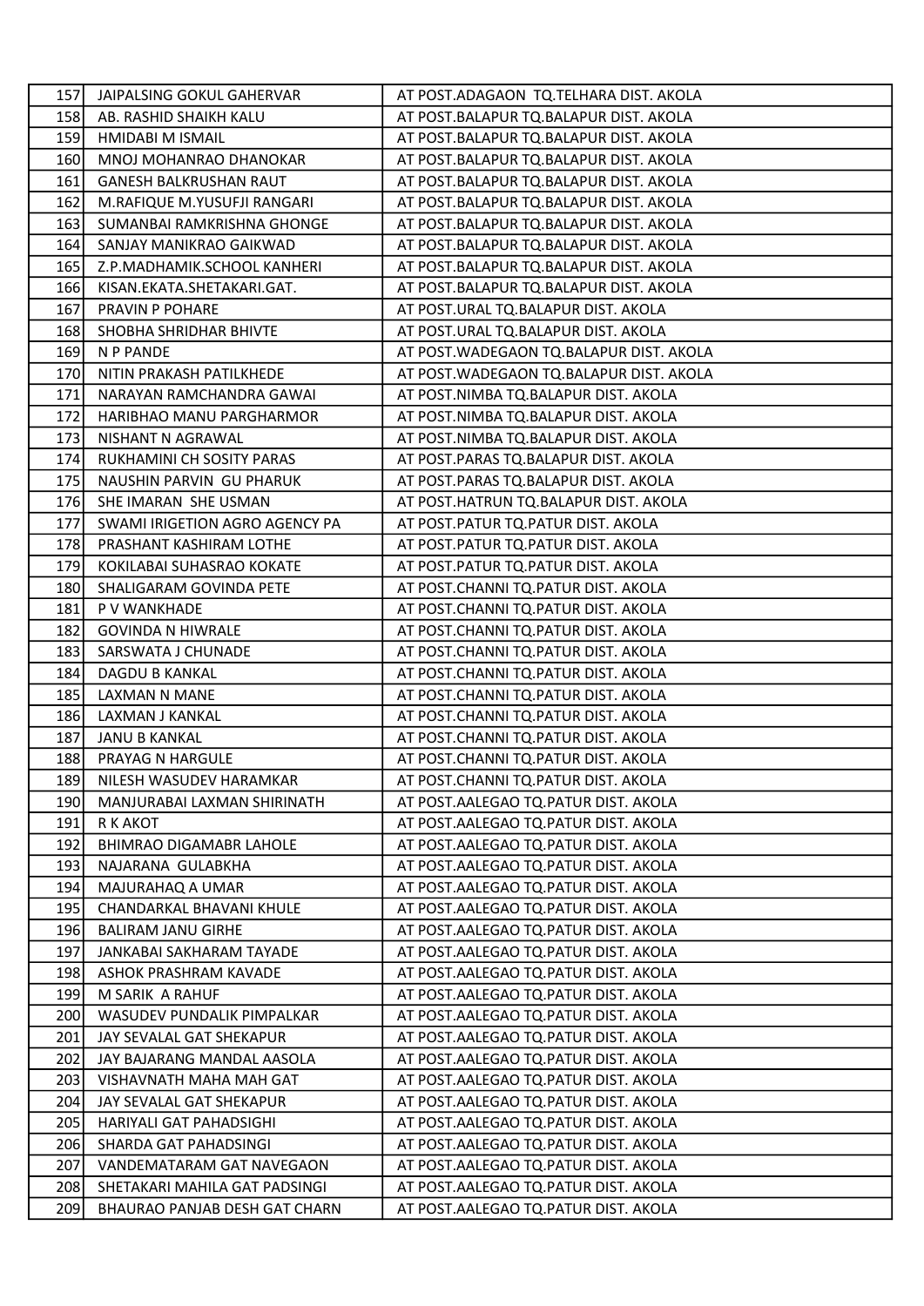| 157l       | JAIPALSING GOKUL GAHERVAR      | AT POST.ADAGAON TQ.TELHARA DIST. AKOLA    |
|------------|--------------------------------|-------------------------------------------|
| 158        | AB. RASHID SHAIKH KALU         | AT POST.BALAPUR TQ.BALAPUR DIST. AKOLA    |
| 159        | HMIDABI M ISMAIL               | AT POST.BALAPUR TQ.BALAPUR DIST. AKOLA    |
| 160        | MNOJ MOHANRAO DHANOKAR         | AT POST.BALAPUR TQ.BALAPUR DIST. AKOLA    |
| 161        | <b>GANESH BALKRUSHAN RAUT</b>  | AT POST.BALAPUR TQ.BALAPUR DIST. AKOLA    |
| 162        | M.RAFIQUE M.YUSUFJI RANGARI    | AT POST.BALAPUR TQ.BALAPUR DIST. AKOLA    |
| 163        | SUMANBAI RAMKRISHNA GHONGE     | AT POST.BALAPUR TQ.BALAPUR DIST. AKOLA    |
| 164        | SANJAY MANIKRAO GAIKWAD        | AT POST.BALAPUR TQ.BALAPUR DIST. AKOLA    |
| 165        | Z.P.MADHAMIK.SCHOOL KANHERI    | AT POST.BALAPUR TQ.BALAPUR DIST. AKOLA    |
| <b>166</b> | KISAN.EKATA.SHETAKARI.GAT.     | AT POST.BALAPUR TQ.BALAPUR DIST. AKOLA    |
| 167        | PRAVIN P POHARE                | AT POST.URAL TQ.BALAPUR DIST. AKOLA       |
| 168        | SHOBHA SHRIDHAR BHIVTE         | AT POST.URAL TQ.BALAPUR DIST. AKOLA       |
| 169        | N P PANDE                      | AT POST. WADEGAON TQ. BALAPUR DIST. AKOLA |
| 170        | NITIN PRAKASH PATILKHEDE       | AT POST. WADEGAON TO. BALAPUR DIST. AKOLA |
| 171        | NARAYAN RAMCHANDRA GAWAI       | AT POST.NIMBA TQ.BALAPUR DIST. AKOLA      |
| 172        | HARIBHAO MANU PARGHARMOR       | AT POST.NIMBA TQ.BALAPUR DIST. AKOLA      |
| 173        | NISHANT N AGRAWAL              | AT POST.NIMBA TQ.BALAPUR DIST. AKOLA      |
| 174        | RUKHAMINI CH SOSITY PARAS      | AT POST.PARAS TQ.BALAPUR DIST. AKOLA      |
| 175        | NAUSHIN PARVIN GU PHARUK       | AT POST.PARAS TQ.BALAPUR DIST. AKOLA      |
| 176        | SHE IMARAN SHE USMAN           | AT POST.HATRUN TQ.BALAPUR DIST. AKOLA     |
| 177        | SWAMI IRIGETION AGRO AGENCY PA | AT POST.PATUR TQ.PATUR DIST. AKOLA        |
| 178        | PRASHANT KASHIRAM LOTHE        | AT POST.PATUR TQ.PATUR DIST. AKOLA        |
| 179        | KOKILABAI SUHASRAO KOKATE      | AT POST.PATUR TQ.PATUR DIST. AKOLA        |
| 180        | SHALIGARAM GOVINDA PETE        | AT POST.CHANNI TQ.PATUR DIST. AKOLA       |
| 181        | P V WANKHADE                   | AT POST.CHANNI TQ.PATUR DIST. AKOLA       |
| 182        | <b>GOVINDA N HIWRALE</b>       | AT POST.CHANNI TQ.PATUR DIST. AKOLA       |
| 183        | SARSWATA J CHUNADE             | AT POST.CHANNI TQ.PATUR DIST. AKOLA       |
| 184        | DAGDU B KANKAL                 | AT POST.CHANNI TQ.PATUR DIST. AKOLA       |
| 185        | LAXMAN N MANE                  | AT POST.CHANNI TQ.PATUR DIST. AKOLA       |
| 186        | LAXMAN J KANKAL                | AT POST.CHANNI TQ.PATUR DIST. AKOLA       |
| 187        | <b>JANU B KANKAL</b>           | AT POST.CHANNI TQ.PATUR DIST. AKOLA       |
| 188        | PRAYAG N HARGULE               | AT POST.CHANNI TQ.PATUR DIST. AKOLA       |
| 189        | NILESH WASUDEV HARAMKAR        | AT POST.CHANNI TQ.PATUR DIST. AKOLA       |
| 190        | MANJURABAI LAXMAN SHIRINATH    | AT POST.AALEGAO TQ.PATUR DIST. AKOLA      |
| 191        | R K AKOT                       | AT POST.AALEGAO TQ.PATUR DIST. AKOLA      |
| 192        | BHIMRAO DIGAMABR LAHOLE        | AT POST.AALEGAO TQ.PATUR DIST. AKOLA      |
| 193        | NAJARANA GULABKHA              | AT POST.AALEGAO TQ.PATUR DIST. AKOLA      |
| 194        | MAJURAHAQ A UMAR               | AT POST.AALEGAO TQ.PATUR DIST. AKOLA      |
| 195        | CHANDARKAL BHAVANI KHULE       | AT POST.AALEGAO TQ.PATUR DIST. AKOLA      |
| 196        | <b>BALIRAM JANU GIRHE</b>      | AT POST.AALEGAO TQ.PATUR DIST. AKOLA      |
| 197        | JANKABAI SAKHARAM TAYADE       | AT POST.AALEGAO TQ.PATUR DIST. AKOLA      |
| 198        | ASHOK PRASHRAM KAVADE          | AT POST.AALEGAO TQ.PATUR DIST. AKOLA      |
| 199        | M SARIK A RAHUF                | AT POST.AALEGAO TQ.PATUR DIST. AKOLA      |
| 200        | WASUDEV PUNDALIK PIMPALKAR     | AT POST.AALEGAO TQ.PATUR DIST. AKOLA      |
| 201        | JAY SEVALAL GAT SHEKAPUR       | AT POST.AALEGAO TQ.PATUR DIST. AKOLA      |
| 202        | JAY BAJARANG MANDAL AASOLA     | AT POST.AALEGAO TQ.PATUR DIST. AKOLA      |
| 203        | VISHAVNATH MAHA MAH GAT        | AT POST.AALEGAO TQ.PATUR DIST. AKOLA      |
| 204        | JAY SEVALAL GAT SHEKAPUR       | AT POST.AALEGAO TQ.PATUR DIST. AKOLA      |
| 205        | HARIYALI GAT PAHADSIGHI        | AT POST.AALEGAO TQ.PATUR DIST. AKOLA      |
| 206        | SHARDA GAT PAHADSINGI          | AT POST.AALEGAO TQ.PATUR DIST. AKOLA      |
| 207        | VANDEMATARAM GAT NAVEGAON      | AT POST.AALEGAO TQ.PATUR DIST. AKOLA      |
| 208        | SHETAKARI MAHILA GAT PADSINGI  | AT POST. AALEGAO TQ. PATUR DIST. AKOLA    |
| 209        | BHAURAO PANJAB DESH GAT CHARN  | AT POST.AALEGAO TQ.PATUR DIST. AKOLA      |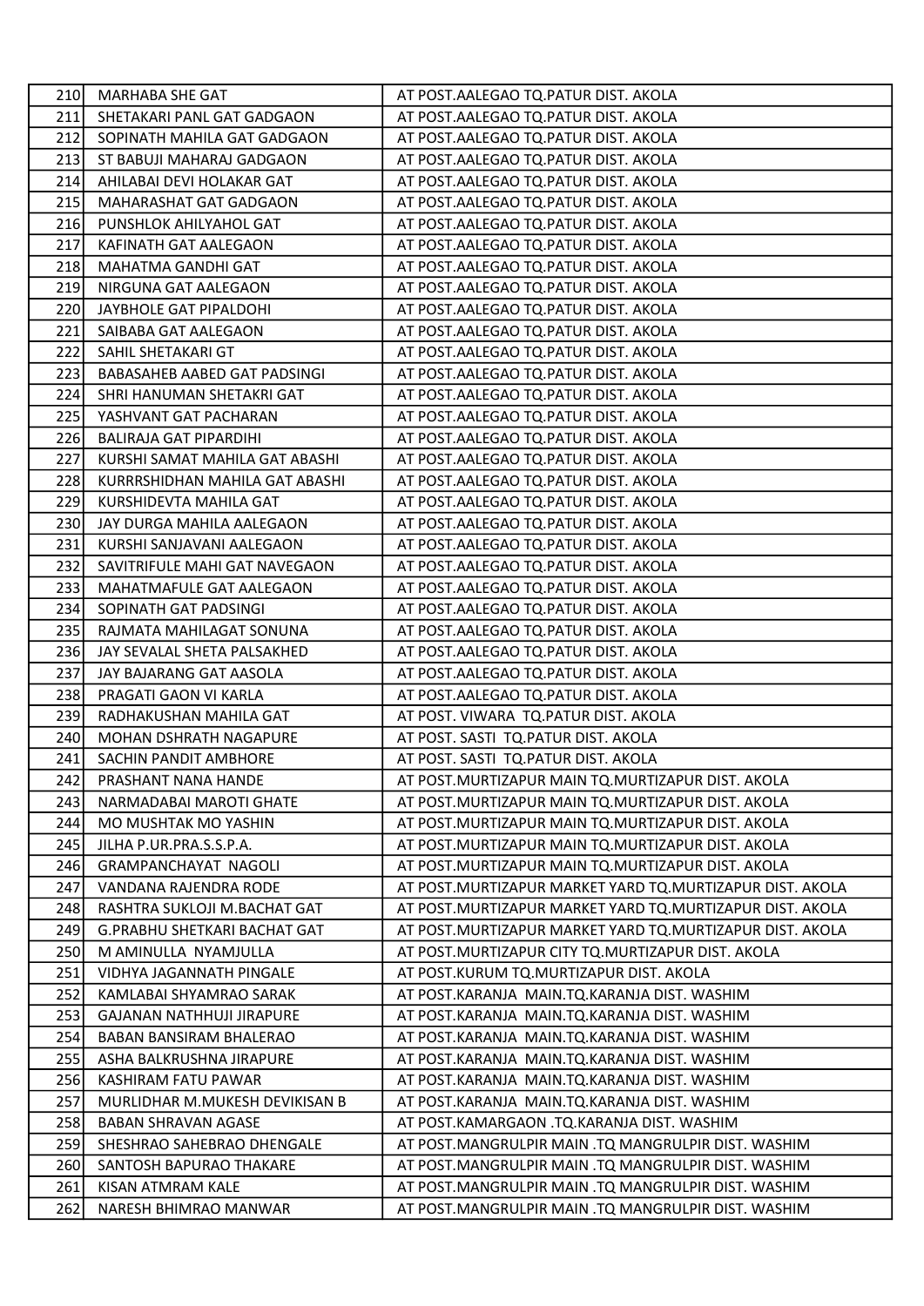| 210 | MARHABA SHE GAT                     | AT POST.AALEGAO TQ.PATUR DIST. AKOLA                       |
|-----|-------------------------------------|------------------------------------------------------------|
| 211 | SHETAKARI PANL GAT GADGAON          | AT POST.AALEGAO TQ.PATUR DIST. AKOLA                       |
| 212 | SOPINATH MAHILA GAT GADGAON         | AT POST.AALEGAO TQ.PATUR DIST. AKOLA                       |
| 213 | ST BABUJI MAHARAJ GADGAON           | AT POST.AALEGAO TQ.PATUR DIST. AKOLA                       |
| 214 | AHILABAI DEVI HOLAKAR GAT           | AT POST.AALEGAO TQ.PATUR DIST. AKOLA                       |
| 215 | MAHARASHAT GAT GADGAON              | AT POST.AALEGAO TQ.PATUR DIST. AKOLA                       |
| 216 | PUNSHLOK AHILYAHOL GAT              | AT POST.AALEGAO TQ.PATUR DIST. AKOLA                       |
| 217 | KAFINATH GAT AALEGAON               | AT POST.AALEGAO TQ.PATUR DIST. AKOLA                       |
| 218 | MAHATMA GANDHI GAT                  | AT POST.AALEGAO TQ.PATUR DIST. AKOLA                       |
| 219 | NIRGUNA GAT AALEGAON                | AT POST.AALEGAO TQ.PATUR DIST. AKOLA                       |
| 220 | JAYBHOLE GAT PIPALDOHI              | AT POST.AALEGAO TQ.PATUR DIST. AKOLA                       |
| 221 | SAIBABA GAT AALEGAON                | AT POST.AALEGAO TQ.PATUR DIST. AKOLA                       |
| 222 | SAHIL SHETAKARI GT                  | AT POST.AALEGAO TQ.PATUR DIST. AKOLA                       |
| 223 | BABASAHEB AABED GAT PADSINGI        | AT POST.AALEGAO TQ.PATUR DIST. AKOLA                       |
| 224 | SHRI HANUMAN SHETAKRI GAT           | AT POST.AALEGAO TQ.PATUR DIST. AKOLA                       |
| 225 | YASHVANT GAT PACHARAN               | AT POST.AALEGAO TQ.PATUR DIST. AKOLA                       |
| 226 | BALIRAJA GAT PIPARDIHI              | AT POST.AALEGAO TQ.PATUR DIST. AKOLA                       |
| 227 | KURSHI SAMAT MAHILA GAT ABASHI      | AT POST.AALEGAO TQ.PATUR DIST. AKOLA                       |
| 228 | KURRRSHIDHAN MAHILA GAT ABASHI      | AT POST.AALEGAO TQ.PATUR DIST. AKOLA                       |
| 229 | KURSHIDEVTA MAHILA GAT              | AT POST.AALEGAO TQ.PATUR DIST. AKOLA                       |
| 230 | JAY DURGA MAHILA AALEGAON           | AT POST.AALEGAO TQ.PATUR DIST. AKOLA                       |
| 231 | KURSHI SANJAVANI AALEGAON           | AT POST.AALEGAO TQ.PATUR DIST. AKOLA                       |
| 232 | SAVITRIFULE MAHI GAT NAVEGAON       | AT POST.AALEGAO TQ.PATUR DIST. AKOLA                       |
| 233 | MAHATMAFULE GAT AALEGAON            | AT POST.AALEGAO TQ.PATUR DIST. AKOLA                       |
| 234 | SOPINATH GAT PADSINGI               | AT POST.AALEGAO TQ.PATUR DIST. AKOLA                       |
| 235 | RAJMATA MAHILAGAT SONUNA            | AT POST.AALEGAO TQ.PATUR DIST. AKOLA                       |
| 236 | JAY SEVALAL SHETA PALSAKHED         | AT POST.AALEGAO TQ.PATUR DIST. AKOLA                       |
| 237 | JAY BAJARANG GAT AASOLA             | AT POST.AALEGAO TQ.PATUR DIST. AKOLA                       |
| 238 | PRAGATI GAON VI KARLA               | AT POST.AALEGAO TQ.PATUR DIST. AKOLA                       |
| 239 | RADHAKUSHAN MAHILA GAT              | AT POST. VIWARA TQ.PATUR DIST. AKOLA                       |
| 240 | MOHAN DSHRATH NAGAPURE              | AT POST. SASTI TQ. PATUR DIST. AKOLA                       |
| 241 | SACHIN PANDIT AMBHORE               | AT POST. SASTI TQ.PATUR DIST. AKOLA                        |
| 242 | PRASHANT NANA HANDE                 | AT POST. MURTIZAPUR MAIN TQ. MURTIZAPUR DIST. AKOLA        |
| 243 | NARMADABAI MAROTI GHATE             | AT POST. MURTIZAPUR MAIN TQ. MURTIZAPUR DIST. AKOLA        |
| 244 | MO MUSHTAK MO YASHIN                | AT POST. MURTIZAPUR MAIN TQ. MURTIZAPUR DIST. AKOLA        |
| 245 | JILHA P.UR.PRA.S.S.P.A.             | AT POST. MURTIZAPUR MAIN TO. MURTIZAPUR DIST. AKOLA        |
| 246 | <b>GRAMPANCHAYAT NAGOLI</b>         | AT POST.MURTIZAPUR MAIN TQ.MURTIZAPUR DIST. AKOLA          |
| 247 | VANDANA RAJENDRA RODE               | AT POST. MURTIZAPUR MARKET YARD TO. MURTIZAPUR DIST. AKOLA |
| 248 | RASHTRA SUKLOJI M.BACHAT GAT        | AT POST. MURTIZAPUR MARKET YARD TO. MURTIZAPUR DIST. AKOLA |
| 249 | <b>G.PRABHU SHETKARI BACHAT GAT</b> | AT POST.MURTIZAPUR MARKET YARD TQ.MURTIZAPUR DIST. AKOLA   |
| 250 | M AMINULLA NYAMJULLA                | AT POST. MURTIZAPUR CITY TQ. MURTIZAPUR DIST. AKOLA        |
| 251 | VIDHYA JAGANNATH PINGALE            | AT POST.KURUM TQ.MURTIZAPUR DIST. AKOLA                    |
| 252 | KAMLABAI SHYAMRAO SARAK             | AT POST.KARANJA MAIN.TQ.KARANJA DIST. WASHIM               |
| 253 | GAJANAN NATHHUJI JIRAPURE           | AT POST.KARANJA MAIN.TQ.KARANJA DIST. WASHIM               |
| 254 | BABAN BANSIRAM BHALERAO             | AT POST.KARANJA MAIN.TQ.KARANJA DIST. WASHIM               |
| 255 | ASHA BALKRUSHNA JIRAPURE            | AT POST.KARANJA MAIN.TQ.KARANJA DIST. WASHIM               |
| 256 | KASHIRAM FATU PAWAR                 | AT POST.KARANJA MAIN.TQ.KARANJA DIST. WASHIM               |
| 257 | MURLIDHAR M.MUKESH DEVIKISAN B      | AT POST.KARANJA MAIN.TQ.KARANJA DIST. WASHIM               |
| 258 | <b>BABAN SHRAVAN AGASE</b>          | AT POST.KAMARGAON .TQ.KARANJA DIST. WASHIM                 |
| 259 | SHESHRAO SAHEBRAO DHENGALE          | AT POST.MANGRULPIR MAIN .TQ MANGRULPIR DIST. WASHIM        |
| 260 | SANTOSH BAPURAO THAKARE             | AT POST.MANGRULPIR MAIN .TQ MANGRULPIR DIST. WASHIM        |
| 261 | KISAN ATMRAM KALE                   | AT POST.MANGRULPIR MAIN .TQ MANGRULPIR DIST. WASHIM        |
| 262 | NARESH BHIMRAO MANWAR               | AT POST.MANGRULPIR MAIN .TQ MANGRULPIR DIST. WASHIM        |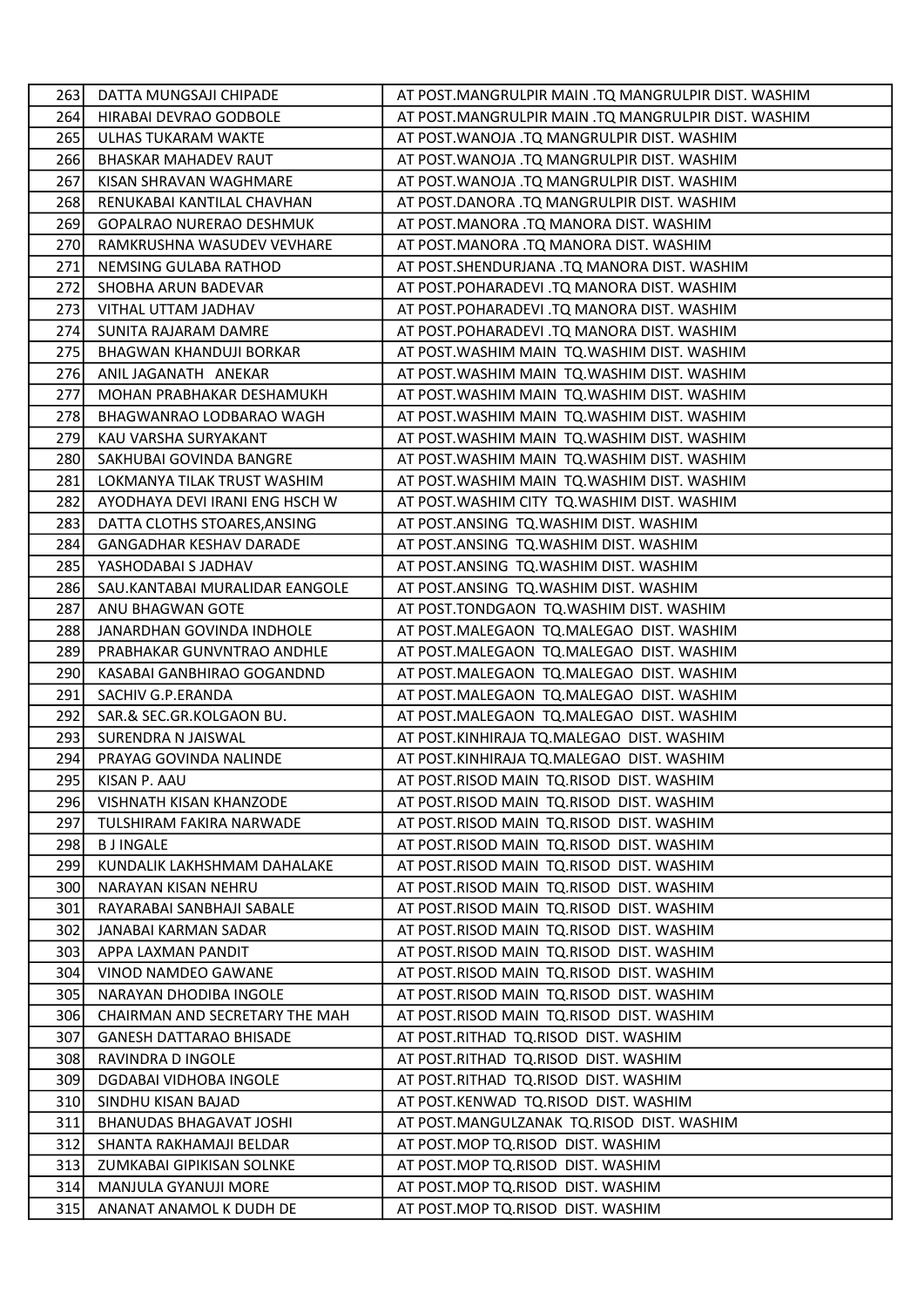| 263 | DATTA MUNGSAJI CHIPADE          | AT POST.MANGRULPIR MAIN .TQ MANGRULPIR DIST. WASHIM |
|-----|---------------------------------|-----------------------------------------------------|
| 264 | HIRABAI DEVRAO GODBOLE          | AT POST.MANGRULPIR MAIN .TQ MANGRULPIR DIST. WASHIM |
| 265 | ULHAS TUKARAM WAKTE             | AT POST. WANOJA .TQ MANGRULPIR DIST. WASHIM         |
| 266 | <b>BHASKAR MAHADEV RAUT</b>     | AT POST. WANOJA .TQ MANGRULPIR DIST. WASHIM         |
| 267 | KISAN SHRAVAN WAGHMARE          | AT POST. WANOJA .TQ MANGRULPIR DIST. WASHIM         |
| 268 | RENUKABAI KANTILAL CHAVHAN      | AT POST.DANORA .TQ MANGRULPIR DIST. WASHIM          |
| 269 | <b>GOPALRAO NURERAO DESHMUK</b> | AT POST.MANORA .TQ MANORA DIST. WASHIM              |
| 270 | RAMKRUSHNA WASUDEV VEVHARE      | AT POST.MANORA .TQ MANORA DIST. WASHIM              |
| 271 | NEMSING GULABA RATHOD           | AT POST.SHENDURJANA .TQ MANORA DIST. WASHIM         |
| 272 | SHOBHA ARUN BADEVAR             | AT POST.POHARADEVI .TQ MANORA DIST. WASHIM          |
| 273 | VITHAL UTTAM JADHAV             | AT POST.POHARADEVI .TQ MANORA DIST. WASHIM          |
| 274 | SUNITA RAJARAM DAMRE            | AT POST.POHARADEVI .TQ MANORA DIST. WASHIM          |
| 275 | BHAGWAN KHANDUJI BORKAR         | AT POST. WASHIM MAIN TQ. WASHIM DIST. WASHIM        |
| 276 | ANIL JAGANATH ANEKAR            | AT POST. WASHIM MAIN TQ. WASHIM DIST. WASHIM        |
| 277 | MOHAN PRABHAKAR DESHAMUKH       | AT POST. WASHIM MAIN TQ. WASHIM DIST. WASHIM        |
| 278 | BHAGWANRAO LODBARAO WAGH        | AT POST. WASHIM MAIN TQ. WASHIM DIST. WASHIM        |
| 279 | KAU VARSHA SURYAKANT            | AT POST. WASHIM MAIN TQ. WASHIM DIST. WASHIM        |
| 280 | SAKHUBAI GOVINDA BANGRE         | AT POST. WASHIM MAIN TO. WASHIM DIST. WASHIM        |
| 281 | LOKMANYA TILAK TRUST WASHIM     | AT POST. WASHIM MAIN TQ. WASHIM DIST. WASHIM        |
| 282 | AYODHAYA DEVI IRANI ENG HSCH W  | AT POST. WASHIM CITY TQ. WASHIM DIST. WASHIM        |
| 283 | DATTA CLOTHS STOARES, ANSING    | AT POST.ANSING TQ.WASHIM DIST. WASHIM               |
| 284 | <b>GANGADHAR KESHAV DARADE</b>  | AT POST.ANSING TQ.WASHIM DIST. WASHIM               |
| 285 | YASHODABAI S JADHAV             | AT POST.ANSING TQ.WASHIM DIST. WASHIM               |
| 286 | SAU.KANTABAI MURALIDAR EANGOLE  | AT POST.ANSING TQ.WASHIM DIST. WASHIM               |
| 287 | ANU BHAGWAN GOTE                | AT POST.TONDGAON TQ.WASHIM DIST. WASHIM             |
| 288 | JANARDHAN GOVINDA INDHOLE       | AT POST.MALEGAON TQ.MALEGAO DIST. WASHIM            |
| 289 | PRABHAKAR GUNVNTRAO ANDHLE      | AT POST.MALEGAON TQ.MALEGAO DIST. WASHIM            |
| 290 | KASABAI GANBHIRAO GOGANDND      | AT POST.MALEGAON TQ.MALEGAO DIST. WASHIM            |
| 291 | SACHIV G.P.ERANDA               | AT POST.MALEGAON TQ.MALEGAO DIST. WASHIM            |
| 292 | SAR.& SEC.GR.KOLGAON BU.        | AT POST.MALEGAON TQ.MALEGAO DIST. WASHIM            |
| 293 | SURENDRA N JAISWAL              | AT POST.KINHIRAJA TQ.MALEGAO DIST. WASHIM           |
| 294 | PRAYAG GOVINDA NALINDE          | AT POST.KINHIRAJA TQ.MALEGAO DIST. WASHIM           |
| 295 | KISAN P. AAU                    | AT POST.RISOD MAIN TQ.RISOD DIST. WASHIM            |
| 296 | VISHNATH KISAN KHANZODE         | AT POST.RISOD MAIN TQ.RISOD DIST. WASHIM            |
| 297 | TULSHIRAM FAKIRA NARWADE        | AT POST.RISOD MAIN TQ.RISOD DIST. WASHIM            |
| 298 | <b>BJINGALE</b>                 | AT POST.RISOD MAIN TQ.RISOD DIST. WASHIM            |
| 299 | KUNDALIK LAKHSHMAM DAHALAKE     | AT POST.RISOD MAIN TQ.RISOD DIST. WASHIM            |
| 300 | NARAYAN KISAN NEHRU             | AT POST.RISOD MAIN TQ.RISOD DIST. WASHIM            |
| 301 | RAYARABAI SANBHAJI SABALE       | AT POST.RISOD MAIN TQ.RISOD DIST. WASHIM            |
| 302 | JANABAI KARMAN SADAR            | AT POST.RISOD MAIN TQ.RISOD DIST. WASHIM            |
| 303 | APPA LAXMAN PANDIT              | AT POST.RISOD MAIN TQ.RISOD DIST. WASHIM            |
| 304 | VINOD NAMDEO GAWANE             | AT POST.RISOD MAIN TQ.RISOD DIST. WASHIM            |
| 305 | NARAYAN DHODIBA INGOLE          | AT POST.RISOD MAIN TQ.RISOD DIST. WASHIM            |
| 306 | CHAIRMAN AND SECRETARY THE MAH  | AT POST.RISOD MAIN TQ.RISOD DIST. WASHIM            |
| 307 | <b>GANESH DATTARAO BHISADE</b>  | AT POST.RITHAD TQ.RISOD DIST. WASHIM                |
| 308 | RAVINDRA D INGOLE               | AT POST.RITHAD TQ.RISOD DIST. WASHIM                |
| 309 | DGDABAI VIDHOBA INGOLE          | AT POST.RITHAD TQ.RISOD DIST. WASHIM                |
| 310 | SINDHU KISAN BAJAD              | AT POST.KENWAD TQ.RISOD DIST. WASHIM                |
| 311 | BHANUDAS BHAGAVAT JOSHI         | AT POST.MANGULZANAK TQ.RISOD DIST. WASHIM           |
| 312 | SHANTA RAKHAMAJI BELDAR         | AT POST. MOP TO RISOD DIST. WASHIM                  |
| 313 | ZUMKABAI GIPIKISAN SOLNKE       | AT POST.MOP TO.RISOD DIST. WASHIM                   |
| 314 | MANJULA GYANUJI MORE            | AT POST.MOP TQ.RISOD DIST. WASHIM                   |
| 315 | ANANAT ANAMOL K DUDH DE         | AT POST.MOP TQ.RISOD DIST. WASHIM                   |